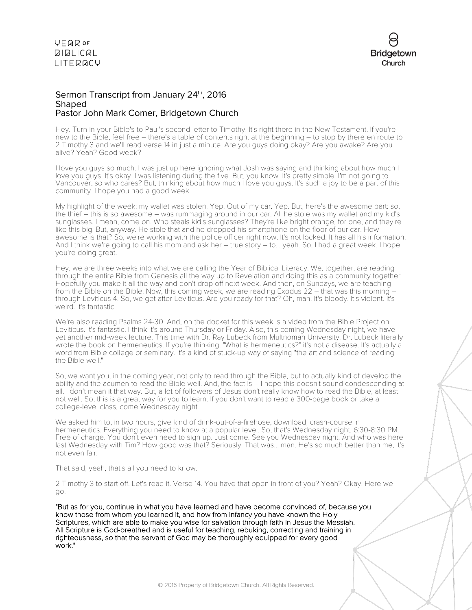

#### Sermon Transcript from January 24th, 2016 **Shaped** Pastor John Mark Comer, Bridgetown Church

Hey. Turn in your Bible's to Paul's second letter to Timothy. It's right there in the New Testament. If you're new to the Bible, feel free – there's a table of contents right at the beginning – to stop by there en route to 2 Timothy 3 and we'll read verse 14 in just a minute. Are you guys doing okay? Are you awake? Are you alive? Yeah? Good week?

I love you guys so much. I was just up here ignoring what Josh was saying and thinking about how much I love you guys. It's okay. I was listening during the five. But, you know. It's pretty simple. I'm not going to Vancouver, so who cares? But, thinking about how much I love you guys. It's such a joy to be a part of this community. I hope you had a good week.

My highlight of the week: my wallet was stolen. Yep. Out of my car. Yep. But, here's the awesome part: so, the thief – this is so awesome – was rummaging around in our car. All he stole was my wallet and my kid's sunglasses. I mean, come on. Who steals kid's sunglasses? They're like bright orange, for one, and they're like this big. But, anyway. He stole that and he dropped his smartphone on the floor of our car. How awesome is that? So, we're working with the police officer right now. It's not locked. It has all his information. And I think we're going to call his mom and ask her – true story – to... yeah. So, I had a great week. I hope you're doing great.

Hey, we are three weeks into what we are calling the Year of Biblical Literacy. We, together, are reading through the entire Bible from Genesis all the way up to Revelation and doing this as a community together. Hopefully you make it all the way and don't drop off next week. And then, on Sundays, we are teaching from the Bible on the Bible. Now, this coming week, we are reading Exodus 22 – that was this morning – through Leviticus 4. So, we get after Leviticus. Are you ready for that? Oh, man. It's bloody. It's violent. It's weird. It's fantastic.

We're also reading Psalms 24-30. And, on the docket for this week is a video from the Bible Project on Leviticus. It's fantastic. I think it's around Thursday or Friday. Also, this coming Wednesday night, we have yet another mid-week lecture. This time with Dr. Ray Lubeck from Multnomah University. Dr. Lubeck literally wrote the book on hermeneutics. If you're thinking, "What is hermeneutics?" it's not a disease. It's actually a word from Bible college or seminary. It's a kind of stuck-up way of saying "the art and science of reading the Bible well."

So, we want you, in the coming year, not only to read through the Bible, but to actually kind of develop the ability and the acumen to read the Bible well. And, the fact is – I hope this doesn't sound condescending at all. I don't mean it that way. But, a lot of followers of Jesus don't really know how to read the Bible, at least not well. So, this is a great way for you to learn. If you don't want to read a 300-page book or take a college-level class, come Wednesday night.

We asked him to, in two hours, give kind of drink-out-of-a-firehose, download, crash-course in hermeneutics. Everything you need to know at a popular level. So, that's Wednesday night, 6:30-8:30 PM. Free of charge. You don't even need to sign up. Just come. See you Wednesday night. And who was here last Wednesday with Tim? How good was that? Seriously. That was... man. He's so much better than me, it's not even fair.

That said, yeah, that's all you need to know.

2 Timothy 3 to start off. Let's read it. Verse 14. You have that open in front of you? Yeah? Okay. Here we go.

"But as for you, continue in what you have learned and have become convinced of, because you know those from whom you learned it, and how from infancy you have known the Holy Scriptures, which are able to make you wise for salvation through faith in Jesus the Messiah. All Scripture is God-breathed and is useful for teaching, rebuking, correcting and training in righteousness, so that the servant of God may be thoroughly equipped for every good work."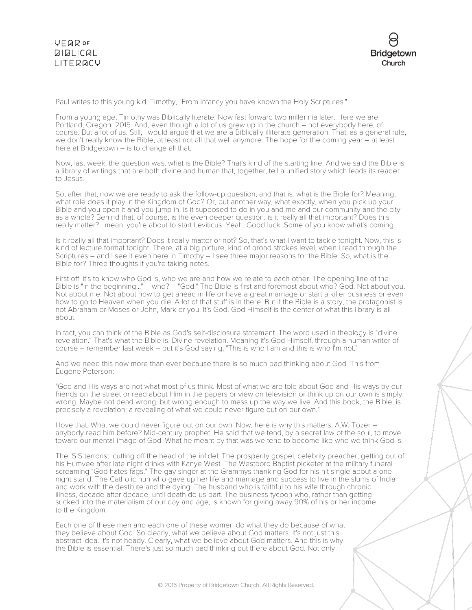

Paul writes to this young kid, Timothy, "From infancy you have known the Holy Scriptures."

From a young age, Timothy was Biblically literate. Now fast forward two millennia later. Here we are. Portland, Oregon. 2015. And, even though a lot of us grew up in the church – not everybody here, of course. But a lot of us. Still, I would argue that we are a Biblically illiterate generation. That, as a general rule, we don't really know the Bible, at least not all that well anymore. The hope for the coming year – at least here at Bridgetown – is to change all that.

Now, last week, the question was: what is the Bible? That's kind of the starting line. And we said the Bible is a library of writings that are both divine and human that, together, tell a unified story which leads its reader to Jesus.

So, after that, now we are ready to ask the follow-up question, and that is: what is the Bible for? Meaning, what role does it play in the Kingdom of God? Or, put another way, what exactly, when you pick up your Bible and you open it and you jump in, is it supposed to do in you and me and our community and the city as a whole? Behind that, of course, is the even deeper question: is it really all that important? Does this really matter? I mean, you're about to start Leviticus. Yeah. Good luck. Some of you know what's coming.

Is it really all that important? Does it really matter or not? So, that's what I want to tackle tonight. Now, this is kind of lecture format tonight. There, at a big picture, kind of broad strokes level, when I read through the Scriptures – and I see it even here in Timothy – I see three major reasons for the Bible. So, what is the Bible for? Three thoughts if you're taking notes.

First off: it's to know who God is, who we are and how we relate to each other. The opening line of the Bible is "in the beginning..." – who? – "God." The Bible is first and foremost about who? God. Not about you. Not about me. Not about how to get ahead in life or have a great marriage or start a killer business or even how to go to Heaven when you die. A lot of that stuff is in there. But if the Bible is a story, the protagonist is not Abraham or Moses or John, Mark or you. It's God. God Himself is the center of what this library is all about.

In fact, you can think of the Bible as God's self-disclosure statement. The word used in theology is "divine revelation." That's what the Bible is. Divine revelation. Meaning it's God Himself, through a human writer of course – remember last week – but it's God saying, "This is who I am and this is who I'm not."

And we need this now more than ever because there is so much bad thinking about God. This from Eugene Peterson:

"God and His ways are not what most of us think. Most of what we are told about God and His ways by our friends on the street or read about Him in the papers or view on television or think up on our own is simply wrong. Maybe not dead wrong, but wrong enough to mess up the way we live. And this book, the Bible, is precisely a revelation; a revealing of what we could never figure out on our own."

I love that. What we could never figure out on our own. Now, here is why this matters: A.W. Tozer – anybody read him before? Mid-century prophet. He said that we tend, by a secret law of the soul, to move toward our mental image of God. What he meant by that was we tend to become like who we think God is.

The ISIS terrorist, cutting off the head of the infidel. The prosperity gospel, celebrity preacher, getting out of his Humvee after late night drinks with Kanye West. The Westboro Baptist picketer at the military funeral screaming "God hates fags." The gay singer at the Grammys thanking God for his hit single about a onenight stand. The Catholic nun who gave up her life and marriage and success to live in the slums of India and work with the destitute and the dying. The husband who is faithful to his wife through chronic illness, decade after decade, until death do us part. The business tycoon who, rather than getting sucked into the materialism of our day and age, is known for giving away 90% of his or her income to the Kingdom.

Each one of these men and each one of these women do what they do because of what they believe about God. So clearly, what we believe about God matters. It's not just this abstract idea. It's not heady. Clearly, what we believe about God matters. And this is why the Bible is essential. There's just so much bad thinking out there about God. Not only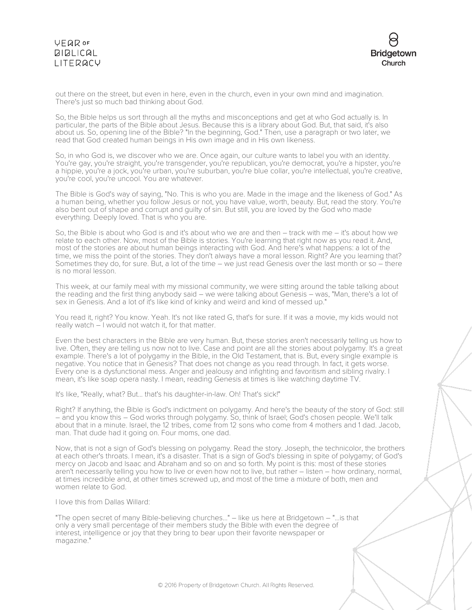

out there on the street, but even in here, even in the church, even in your own mind and imagination. There's just so much bad thinking about God.

So, the Bible helps us sort through all the myths and misconceptions and get at who God actually is. In particular, the parts of the Bible about Jesus. Because this is a library about God. But, that said, it's also about us. So, opening line of the Bible? "In the beginning, God." Then, use a paragraph or two later, we read that God created human beings in His own image and in His own likeness.

So, in who God is, we discover who we are. Once again, our culture wants to label you with an identity. You're gay, you're straight, you're transgender, you're republican, you're democrat, you're a hipster, you're a hippie, you're a jock, you're urban, you're suburban, you're blue collar, you're intellectual, you're creative, you're cool, you're uncool. You are whatever.

The Bible is God's way of saying, "No. This is who you are. Made in the image and the likeness of God." As a human being, whether you follow Jesus or not, you have value, worth, beauty. But, read the story. You're also bent out of shape and corrupt and guilty of sin. But still, you are loved by the God who made everything. Deeply loved. That is who you are.

So, the Bible is about who God is and it's about who we are and then – track with me – it's about how we relate to each other. Now, most of the Bible is stories. You're learning that right now as you read it. And, most of the stories are about human beings interacting with God. And here's what happens: a lot of the time, we miss the point of the stories. They don't always have a moral lesson. Right? Are you learning that? Sometimes they do, for sure. But, a lot of the time – we just read Genesis over the last month or so – there is no moral lesson.

This week, at our family meal with my missional community, we were sitting around the table talking about the reading and the first thing anybody said – we were talking about Genesis – was, "Man, there's a lot of sex in Genesis. And a lot of it's like kind of kinky and weird and kind of messed up."

You read it, right? You know. Yeah. It's not like rated G, that's for sure. If it was a movie, my kids would not really watch – I would not watch it, for that matter.

Even the best characters in the Bible are very human. But, these stories aren't necessarily telling us how to live. Often, they are telling us now not to live. Case and point are all the stories about polygamy. It's a great example. There's a lot of polygamy in the Bible, in the Old Testament, that is. But, every single example is negative. You notice that in Genesis? That does not change as you read through. In fact, it gets worse. Every one is a dysfunctional mess. Anger and jealousy and infighting and favoritism and sibling rivalry. I mean, it's like soap opera nasty. I mean, reading Genesis at times is like watching daytime TV.

It's like, "Really, what? But... that's his daughter-in-law. Oh! That's sick!"

Right? If anything, the Bible is God's indictment on polygamy. And here's the beauty of the story of God: still – and you know this – God works through polygamy. So, think of Israel; God's chosen people. We'll talk about that in a minute. Israel, the 12 tribes, come from 12 sons who come from 4 mothers and 1 dad. Jacob, man. That dude had it going on. Four moms, one dad.

Now, that is not a sign of God's blessing on polygamy. Read the story. Joseph, the technicolor, the brothers at each other's throats. I mean, it's a disaster. That is a sign of God's blessing in spite of polygamy; of God's mercy on Jacob and Isaac and Abraham and so on and so forth. My point is this: most of these stories aren't necessarily telling you how to live or even how not to live, but rather – listen – how ordinary, normal, at times incredible and, at other times screwed up, and most of the time a mixture of both, men and women relate to God.

I love this from Dallas Willard:

"The open secret of many Bible-believing churches..." – like us here at Bridgetown – "...is that only a very small percentage of their members study the Bible with even the degree of interest, intelligence or joy that they bring to bear upon their favorite newspaper or magazine."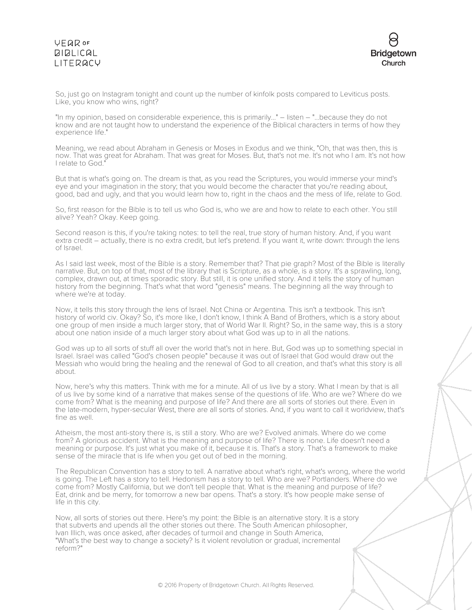

So, just go on Instagram tonight and count up the number of kinfolk posts compared to Leviticus posts. Like, you know who wins, right?

"In my opinion, based on considerable experience, this is primarily..." – listen – "...because they do not know and are not taught how to understand the experience of the Biblical characters in terms of how they experience life."

Meaning, we read about Abraham in Genesis or Moses in Exodus and we think, "Oh, that was then, this is now. That was great for Abraham. That was great for Moses. But, that's not me. It's not who I am. It's not how I relate to God."

But that is what's going on. The dream is that, as you read the Scriptures, you would immerse your mind's eye and your imagination in the story; that you would become the character that you're reading about, good, bad and ugly, and that you would learn how to, right in the chaos and the mess of life, relate to God.

So, first reason for the Bible is to tell us who God is, who we are and how to relate to each other. You still alive? Yeah? Okay. Keep going.

Second reason is this, if you're taking notes: to tell the real, true story of human history. And, if you want extra credit – actually, there is no extra credit, but let's pretend. If you want it, write down: through the lens of Israel.

As I said last week, most of the Bible is a story. Remember that? That pie graph? Most of the Bible is literally narrative. But, on top of that, most of the library that is Scripture, as a whole, is a story. It's a sprawling, long, complex, drawn out, at times sporadic story. But still, it is one unified story. And it tells the story of human history from the beginning. That's what that word "genesis" means. The beginning all the way through to where we're at today.

Now, it tells this story through the lens of Israel. Not China or Argentina. This isn't a textbook. This isn't history of world civ. Okay? So, it's more like, I don't know, I think A Band of Brothers, which is a story about one group of men inside a much larger story, that of World War II. Right? So, in the same way, this is a story about one nation inside of a much larger story about what God was up to in all the nations.

God was up to all sorts of stuff all over the world that's not in here. But, God was up to something special in Israel. Israel was called "God's chosen people" because it was out of Israel that God would draw out the Messiah who would bring the healing and the renewal of God to all creation, and that's what this story is all about.

Now, here's why this matters. Think with me for a minute. All of us live by a story. What I mean by that is all of us live by some kind of a narrative that makes sense of the questions of life. Who are we? Where do we come from? What is the meaning and purpose of life? And there are all sorts of stories out there. Even in the late-modern, hyper-secular West, there are all sorts of stories. And, if you want to call it worldview, that's fine as well.

Atheism, the most anti-story there is, is still a story. Who are we? Evolved animals. Where do we come from? A glorious accident. What is the meaning and purpose of life? There is none. Life doesn't need a meaning or purpose. It's just what you make of it, because it is. That's a story. That's a framework to make sense of the miracle that is life when you get out of bed in the morning.

The Republican Convention has a story to tell. A narrative about what's right, what's wrong, where the world is going. The Left has a story to tell. Hedonism has a story to tell. Who are we? Portlanders. Where do we come from? Mostly California, but we don't tell people that. What is the meaning and purpose of life? Eat, drink and be merry, for tomorrow a new bar opens. That's a story. It's how people make sense of life in this city.

Now, all sorts of stories out there. Here's my point: the Bible is an alternative story. It is a story that subverts and upends all the other stories out there. The South American philosopher, Ivan Illich, was once asked, after decades of turmoil and change in South America, "What's the best way to change a society? Is it violent revolution or gradual, incremental reform?"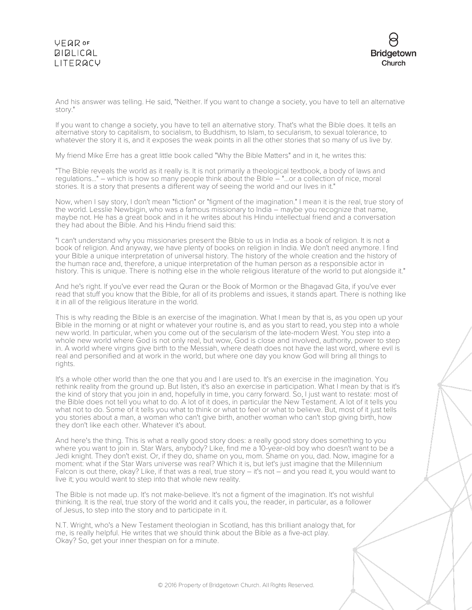

And his answer was telling. He said, "Neither. If you want to change a society, you have to tell an alternative story."

If you want to change a society, you have to tell an alternative story. That's what the Bible does. It tells an alternative story to capitalism, to socialism, to Buddhism, to Islam, to secularism, to sexual tolerance, to whatever the story it is, and it exposes the weak points in all the other stories that so many of us live by.

My friend Mike Erre has a great little book called "Why the Bible Matters" and in it, he writes this:

"The Bible reveals the world as it really is. It is not primarily a theological textbook, a body of laws and regulations..." – which is how so many people think about the Bible – "...or a collection of nice, moral stories. It is a story that presents a different way of seeing the world and our lives in it."

Now, when I say story, I don't mean "fiction" or "figment of the imagination." I mean it is the real, true story of the world. Lesslie Newbigin, who was a famous missionary to India – maybe you recognize that name, maybe not. He has a great book and in it he writes about his Hindu intellectual friend and a conversation they had about the Bible. And his Hindu friend said this:

"I can't understand why you missionaries present the Bible to us in India as a book of religion. It is not a book of religion. And anyway, we have plenty of books on religion in India. We don't need anymore. I find your Bible a unique interpretation of universal history. The history of the whole creation and the history of the human race and, therefore, a unique interpretation of the human person as a responsible actor in history. This is unique. There is nothing else in the whole religious literature of the world to put alongside it."

And he's right. If you've ever read the Quran or the Book of Mormon or the Bhagavad Gita, if you've ever read that stuff you know that the Bible, for all of its problems and issues, it stands apart. There is nothing like it in all of the religious literature in the world.

This is why reading the Bible is an exercise of the imagination. What I mean by that is, as you open up your Bible in the morning or at night or whatever your routine is, and as you start to read, you step into a whole new world. In particular, when you come out of the secularism of the late-modern West. You step into a whole new world where God is not only real, but wow, God is close and involved, authority, power to step in. A world where virgins give birth to the Messiah, where death does not have the last word, where evil is real and personified and at work in the world, but where one day you know God will bring all things to rights.

It's a whole other world than the one that you and I are used to. It's an exercise in the imagination. You rethink reality from the ground up. But listen, it's also an exercise in participation. What I mean by that is it's the kind of story that you join in and, hopefully in time, you carry forward. So, I just want to restate: most of the Bible does not tell you what to do. A lot of it does, in particular the New Testament. A lot of it tells you what not to do. Some of it tells you what to think or what to feel or what to believe. But, most of it just tells you stories about a man, a woman who can't give birth, another woman who can't stop giving birth, how they don't like each other. Whatever it's about.

And here's the thing. This is what a really good story does: a really good story does something to you where you want to join in. Star Wars, anybody? Like, find me a 10-year-old boy who doesn't want to be a Jedi knight. They don't exist. Or, if they do, shame on you, mom. Shame on you, dad. Now, imagine for a moment: what if the Star Wars universe was real? Which it is, but let's just imagine that the Millennium Falcon is out there, okay? Like, if that was a real, true story – it's not – and you read it, you would want to live it; you would want to step into that whole new reality.

The Bible is not made up. It's not make-believe. It's not a figment of the imagination. It's not wishful thinking. It is the real, true story of the world and it calls you, the reader, in particular, as a follower of Jesus, to step into the story and to participate in it.

N.T. Wright, who's a New Testament theologian in Scotland, has this brilliant analogy that, for me, is really helpful. He writes that we should think about the Bible as a five-act play. Okay? So, get your inner thespian on for a minute.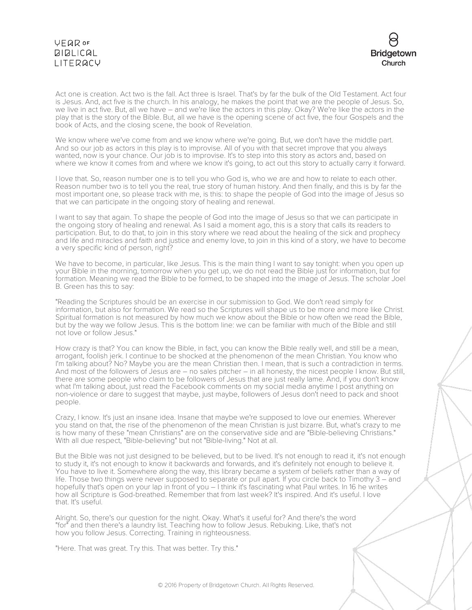

Act one is creation. Act two is the fall. Act three is Israel. That's by far the bulk of the Old Testament. Act four is Jesus. And, act five is the church. In his analogy, he makes the point that we are the people of Jesus. So, we live in act five. But, all we have – and we're like the actors in this play. Okay? We're like the actors in the play that is the story of the Bible. But, all we have is the opening scene of act five, the four Gospels and the book of Acts, and the closing scene, the book of Revelation.

We know where we've come from and we know where we're going. But, we don't have the middle part. And so our job as actors in this play is to improvise. All of you with that secret improve that you always wanted, now is your chance. Our job is to improvise. It's to step into this story as actors and, based on where we know it comes from and where we know it's going, to act out this story to actually carry it forward.

I love that. So, reason number one is to tell you who God is, who we are and how to relate to each other. Reason number two is to tell you the real, true story of human history. And then finally, and this is by far the most important one, so please track with me, is this: to shape the people of God into the image of Jesus so that we can participate in the ongoing story of healing and renewal.

I want to say that again. To shape the people of God into the image of Jesus so that we can participate in the ongoing story of healing and renewal. As I said a moment ago, this is a story that calls its readers to participation. But, to do that, to join in this story where we read about the healing of the sick and prophecy and life and miracles and faith and justice and enemy love, to join in this kind of a story, we have to become a very specific kind of person, right?

We have to become, in particular, like Jesus. This is the main thing I want to say tonight: when you open up your Bible in the morning, tomorrow when you get up, we do not read the Bible just for information, but for formation. Meaning we read the Bible to be formed, to be shaped into the image of Jesus. The scholar Joel B. Green has this to say:

"Reading the Scriptures should be an exercise in our submission to God. We don't read simply for information, but also for formation. We read so the Scriptures will shape us to be more and more like Christ. Spiritual formation is not measured by how much we know about the Bible or how often we read the Bible, but by the way we follow Jesus. This is the bottom line: we can be familiar with much of the Bible and still not love or follow Jesus."

How crazy is that? You can know the Bible, in fact, you can know the Bible really well, and still be a mean, arrogant, foolish jerk. I continue to be shocked at the phenomenon of the mean Christian. You know who I'm talking about? No? Maybe you are the mean Christian then. I mean, that is such a contradiction in terms. And most of the followers of Jesus are – no sales pitcher – in all honesty, the nicest people I know. But still, there are some people who claim to be followers of Jesus that are just really lame. And, if you don't know what I'm talking about, just read the Facebook comments on my social media anytime I post anything on non-violence or dare to suggest that maybe, just maybe, followers of Jesus don't need to pack and shoot people.

Crazy, I know. It's just an insane idea. Insane that maybe we're supposed to love our enemies. Wherever you stand on that, the rise of the phenomenon of the mean Christian is just bizarre. But, what's crazy to me is how many of these "mean Christians" are on the conservative side and are "Bible-believing Christians." With all due respect, "Bible-believing" but not "Bible-living." Not at all.

But the Bible was not just designed to be believed, but to be lived. It's not enough to read it, it's not enough to study it, it's not enough to know it backwards and forwards, and it's definitely not enough to believe it. You have to live it. Somewhere along the way, this library became a system of beliefs rather than a way of life. Those two things were never supposed to separate or pull apart. If you circle back to Timothy 3 – and hopefully that's open on your lap in front of you – I think it's fascinating what Paul writes. In 16 he writes how all Scripture is God-breathed. Remember that from last week? It's inspired. And it's useful. I love that. It's useful.

Alright. So, there's our question for the night. Okay. What's it useful for? And there's the word "for" and then there's a laundry list. Teaching how to follow Jesus. Rebuking. Like, that's not how you follow Jesus. Correcting. Training in righteousness.

"Here. That was great. Try this. That was better. Try this."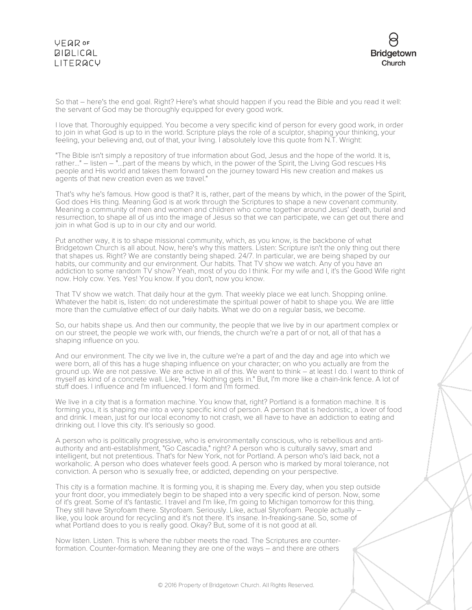

So that – here's the end goal. Right? Here's what should happen if you read the Bible and you read it well: the servant of God may be thoroughly equipped for every good work.

I love that. Thoroughly equipped. You become a very specific kind of person for every good work, in order to join in what God is up to in the world. Scripture plays the role of a sculptor, shaping your thinking, your feeling, your believing and, out of that, your living. I absolutely love this quote from N.T. Wright:

"The Bible isn't simply a repository of true information about God, Jesus and the hope of the world. It is, rather..." – listen – "...part of the means by which, in the power of the Spirit, the Living God rescues His people and His world and takes them forward on the journey toward His new creation and makes us agents of that new creation even as we travel."

That's why he's famous. How good is that? It is, rather, part of the means by which, in the power of the Spirit, God does His thing. Meaning God is at work through the Scriptures to shape a new covenant community. Meaning a community of men and women and children who come together around Jesus' death, burial and resurrection, to shape all of us into the image of Jesus so that we can participate, we can get out there and join in what God is up to in our city and our world.

Put another way, it is to shape missional community, which, as you know, is the backbone of what Bridgetown Church is all about. Now, here's why this matters. Listen: Scripture isn't the only thing out there that shapes us. Right? We are constantly being shaped. 24/7. In particular, we are being shaped by our habits, our community and our environment. Our habits. That TV show we watch. Any of you have an addiction to some random TV show? Yeah, most of you do I think. For my wife and I, it's the Good Wife right now. Holy cow. Yes. Yes! You know. If you don't, now you know.

That TV show we watch. That daily hour at the gym. That weekly place we eat lunch. Shopping online. Whatever the habit is, listen: do not underestimate the spiritual power of habit to shape you. We are little more than the cumulative effect of our daily habits. What we do on a regular basis, we become.

So, our habits shape us. And then our community, the people that we live by in our apartment complex or on our street, the people we work with, our friends, the church we're a part of or not, all of that has a shaping influence on you.

And our environment. The city we live in, the culture we're a part of and the day and age into which we were born, all of this has a huge shaping influence on your character; on who you actually are from the ground up. We are not passive. We are active in all of this. We want to think – at least I do. I want to think of myself as kind of a concrete wall. Like, "Hey. Nothing gets in." But, I'm more like a chain-link fence. A lot of stuff does. I influence and I'm influenced. I form and I'm formed.

We live in a city that is a formation machine. You know that, right? Portland is a formation machine. It is forming you, it is shaping me into a very specific kind of person. A person that is hedonistic, a lover of food and drink. I mean, just for our local economy to not crash, we all have to have an addiction to eating and drinking out. I love this city. It's seriously so good.

A person who is politically progressive, who is environmentally conscious, who is rebellious and antiauthority and anti-establishment, "Go Cascadia," right? A person who is culturally savvy, smart and intelligent, but not pretentious. That's for New York, not for Portland. A person who's laid back, not a workaholic. A person who does whatever feels good. A person who is marked by moral tolerance, not conviction. A person who is sexually free, or addicted, depending on your perspective.

This city is a formation machine. It is forming you, it is shaping me. Every day, when you step outside your front door, you immediately begin to be shaped into a very specific kind of person. Now, some of it's great. Some of it's fantastic. I travel and I'm like, I'm going to Michigan tomorrow for this thing. They still have Styrofoam there. Styrofoam. Seriously. Like, actual Styrofoam. People actually – like, you look around for recycling and it's not there. It's insane. In-freaking-sane. So, some of what Portland does to you is really good. Okay? But, some of it is not good at all.

Now listen. Listen. This is where the rubber meets the road. The Scriptures are counter- formation. Counter-formation. Meaning they are one of the ways – and there are others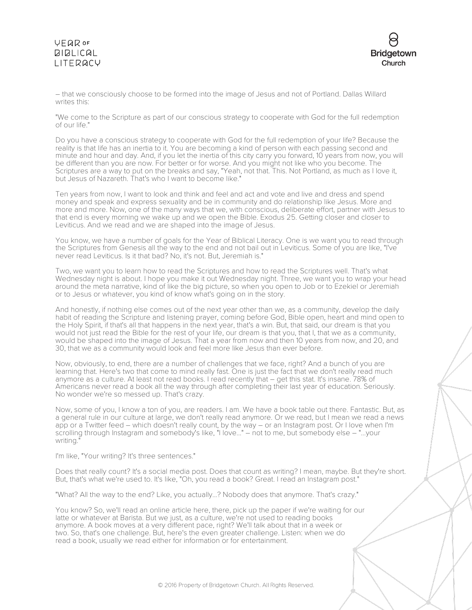

– that we consciously choose to be formed into the image of Jesus and not of Portland. Dallas Willard writes this:

"We come to the Scripture as part of our conscious strategy to cooperate with God for the full redemption of our life."

Do you have a conscious strategy to cooperate with God for the full redemption of your life? Because the reality is that life has an inertia to it. You are becoming a kind of person with each passing second and minute and hour and day. And, if you let the inertia of this city carry you forward, 10 years from now, you will be different than you are now. For better or for worse. And you might not like who you become. The Scriptures are a way to put on the breaks and say, "Yeah, not that. This. Not Portland, as much as I love it, but Jesus of Nazareth. That's who I want to become like."

Ten years from now, I want to look and think and feel and act and vote and live and dress and spend money and speak and express sexuality and be in community and do relationship like Jesus. More and more and more. Now, one of the many ways that we, with conscious, deliberate effort, partner with Jesus to that end is every morning we wake up and we open the Bible. Exodus 25. Getting closer and closer to Leviticus. And we read and we are shaped into the image of Jesus.

You know, we have a number of goals for the Year of Biblical Literacy. One is we want you to read through the Scriptures from Genesis all the way to the end and not bail out in Leviticus. Some of you are like, "I've never read Leviticus. Is it that bad? No, it's not. But, Jeremiah is."

Two, we want you to learn how to read the Scriptures and how to read the Scriptures well. That's what Wednesday night is about. I hope you make it out Wednesday night. Three, we want you to wrap your head around the meta narrative, kind of like the big picture, so when you open to Job or to Ezekiel or Jeremiah or to Jesus or whatever, you kind of know what's going on in the story.

And honestly, if nothing else comes out of the next year other than we, as a community, develop the daily habit of reading the Scripture and listening prayer, coming before God, Bible open, heart and mind open to the Holy Spirit, if that's all that happens in the next year, that's a win. But, that said, our dream is that you would not just read the Bible for the rest of your life, our dream is that you, that I, that we as a community, would be shaped into the image of Jesus. That a year from now and then 10 years from now, and 20, and 30, that we as a community would look and feel more like Jesus than ever before.

Now, obviously, to end, there are a number of challenges that we face, right? And a bunch of you are learning that. Here's two that come to mind really fast. One is just the fact that we don't really read much anymore as a culture. At least not read books. I read recently that – get this stat. It's insane. 78% of Americans never read a book all the way through after completing their last year of education. Seriously. No wonder we're so messed up. That's crazy.

Now, some of you, I know a ton of you, are readers. I am. We have a book table out there. Fantastic. But, as a general rule in our culture at large, we don't really read anymore. Or we read, but I mean we read a news app or a Twitter feed – which doesn't really count, by the way – or an Instagram post. Or I love when I'm scrolling through Instagram and somebody's like, "I love..." – not to me, but somebody else – "...your writing.

I'm like, "Your writing? It's three sentences."

Does that really count? It's a social media post. Does that count as writing? I mean, maybe. But they're short. But, that's what we're used to. It's like, "Oh, you read a book? Great. I read an Instagram post."

"What? All the way to the end? Like, you actually...? Nobody does that anymore. That's crazy."

You know? So, we'll read an online article here, there, pick up the paper if we're waiting for our latte or whatever at Barista. But we just, as a culture, we're not used to reading books anymore. A book moves at a very different pace, right? We'll talk about that in a week or two. So, that's one challenge. But, here's the even greater challenge. Listen: when we do read a book, usually we read either for information or for entertainment.